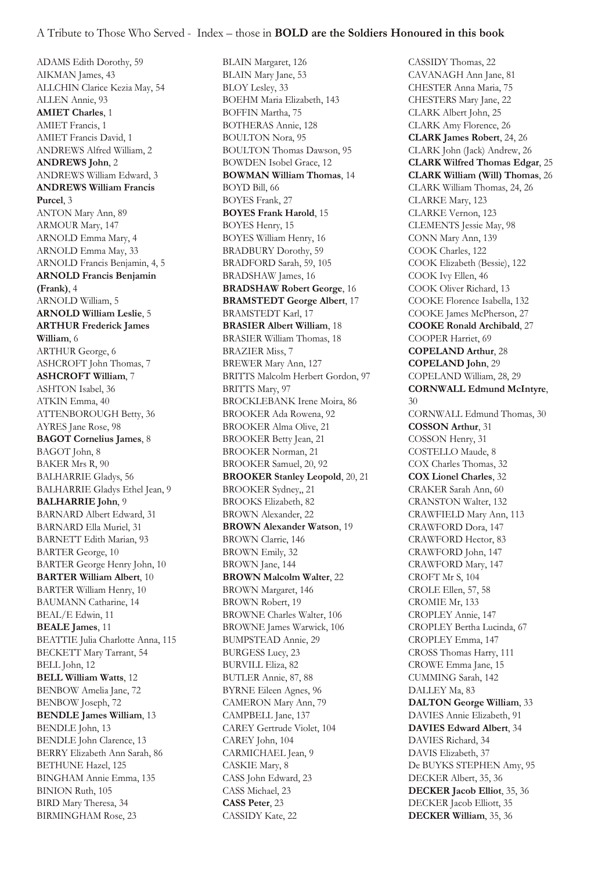ADAMS Edith Dorothy, 59 AIKMAN James, 43 ALLCHIN Clarice Kezia May, 54 ALLEN Annie, 93 **AMIET Charles**, 1 AMIET Francis, 1 AMIET Francis David, 1 ANDREWS Alfred William, 2 **ANDREWS John**, 2 ANDREWS William Edward, 3 **ANDREWS William Francis Purcel**, 3 ANTON Mary Ann, 89 ARMOUR Mary, 147 ARNOLD Emma Mary, 4 ARNOLD Emma May, 33 ARNOLD Francis Benjamin, 4, 5 **ARNOLD Francis Benjamin (Frank)**, 4 ARNOLD William, 5 **ARNOLD William Leslie**, 5 **ARTHUR Frederick James William**, 6 ARTHUR George, 6 ASHCROFT John Thomas, 7 **ASHCROFT William**, 7 ASHTON Isabel, 36 ATKIN Emma, 40 ATTENBOROUGH Betty, 36 AYRES Jane Rose, 98 **BAGOT Cornelius James**, 8 BAGOT John, 8 BAKER Mrs R, 90 BALHARRIE Gladys, 56 BALHARRIE Gladys Ethel Jean, 9 **BALHARRIE John**, 9 BARNARD Albert Edward, 31 BARNARD Ella Muriel, 31 BARNETT Edith Marian, 93 BARTER George, 10 BARTER George Henry John, 10 **BARTER William Albert**, 10 BARTER William Henry, 10 BAUMANN Catharine, 14 BEAL/E Edwin, 11 **BEALE James**, 11 BEATTIE Julia Charlotte Anna, 115 BECKETT Mary Tarrant, 54 BELL John, 12 **BELL William Watts**, 12 BENBOW Amelia Jane, 72 BENBOW Joseph, 72 **BENDLE James William**, 13 BENDLE John, 13 BENDLE John Clarence, 13 BERRY Elizabeth Ann Sarah, 86 BETHUNE Hazel, 125 BINGHAM Annie Emma, 135 BINION Ruth, 105 BIRD Mary Theresa, 34 BIRMINGHAM Rose, 23

BLAIN Margaret, 126 BLAIN Mary Jane, 53 BLOY Lesley, 33 BOEHM Maria Elizabeth, 143 BOFFIN Martha, 75 BOTHERAS Annie, 128 BOULTON Nora, 95 BOULTON Thomas Dawson, 95 BOWDEN Isobel Grace, 12 **BOWMAN William Thomas**, 14 BOYD Bill, 66 BOYES Frank, 27 **BOYES Frank Harold**, 15 BOYES Henry, 15 BOYES William Henry, 16 BRADBURY Dorothy, 59 BRADFORD Sarah, 59, 105 BRADSHAW James, 16 **BRADSHAW Robert George**, 16 **BRAMSTEDT George Albert**, 17 BRAMSTEDT Karl, 17 **BRASIER Albert William**, 18 BRASIER William Thomas, 18 BRAZIER Miss, 7 BREWER Mary Ann, 127 BRITTS Malcolm Herbert Gordon, 97 BRITTS Mary, 97 BROCKLEBANK Irene Moira, 86 BROOKER Ada Rowena, 92 BROOKER Alma Olive, 21 BROOKER Betty Jean, 21 BROOKER Norman, 21 BROOKER Samuel, 20, 92 **BROOKER Stanley Leopold**, 20, 21 BROOKER Sydney,, 21 BROOKS Elizabeth, 82 BROWN Alexander, 22 **BROWN Alexander Watson**, 19 BROWN Clarrie, 146 BROWN Emily, 32 BROWN Jane, 144 **BROWN Malcolm Walter**, 22 BROWN Margaret, 146 BROWN Robert, 19 BROWNE Charles Walter, 106 BROWNE James Warwick, 106 BUMPSTEAD Annie, 29 BURGESS Lucy, 23 BURVILL Eliza, 82 BUTLER Annie, 87, 88 BYRNE Eileen Agnes, 96 CAMERON Mary Ann, 79 CAMPBELL Jane, 137 CAREY Gertrude Violet, 104 CAREY John, 104 CARMICHAEL Jean, 9 CASKIE Mary, 8 CASS John Edward, 23 CASS Michael, 23 **CASS Peter**, 23 CASSIDY Kate, 22

CASSIDY Thomas, 22 CAVANAGH Ann Jane, 81 CHESTER Anna Maria, 75 CHESTERS Mary Jane, 22 CLARK Albert John, 25 CLARK Amy Florence, 26 **CLARK James Robert**, 24, 26 CLARK John (Jack) Andrew, 26 **CLARK Wilfred Thomas Edgar**, 25 **CLARK William (Will) Thomas**, 26 CLARK William Thomas, 24, 26 CLARKE Mary, 123 CLARKE Vernon, 123 CLEMENTS Jessie May, 98 CONN Mary Ann, 139 COOK Charles, 122 COOK Elizabeth (Bessie), 122 COOK Ivy Ellen, 46 COOK Oliver Richard, 13 COOKE Florence Isabella, 132 COOKE James McPherson, 27 **COOKE Ronald Archibald**, 27 COOPER Harriet, 69 **COPELAND Arthur**, 28 **COPELAND John**, 29 COPELAND William, 28, 29 **CORNWALL Edmund McIntyre**, 30 CORNWALL Edmund Thomas, 30 **COSSON Arthur**, 31 COSSON Henry, 31 COSTELLO Maude, 8 COX Charles Thomas, 32 **COX Lionel Charles**, 32 CRAKER Sarah Ann, 60 CRANSTON Walter, 132 CRAWFIELD Mary Ann, 113 CRAWFORD Dora, 147 CRAWFORD Hector, 83 CRAWFORD John, 147 CRAWFORD Mary, 147 CROFT Mr S, 104 CROLE Ellen, 57, 58 CROMIE Mr, 133 CROPLEY Annie, 147 CROPLEY Bertha Lucinda, 67 CROPLEY Emma, 147 CROSS Thomas Harry, 111 CROWE Emma Jane, 15 CUMMING Sarah, 142 DALLEY Ma, 83 **DALTON George William**, 33 DAVIES Annie Elizabeth, 91 **DAVIES Edward Albert**, 34 DAVIES Richard, 34 DAVIS Elizabeth, 37 De BUYKS STEPHEN Amy, 95 DECKER Albert, 35, 36 **DECKER Jacob Elliot**, 35, 36 DECKER Jacob Elliott, 35 **DECKER William**, 35, 36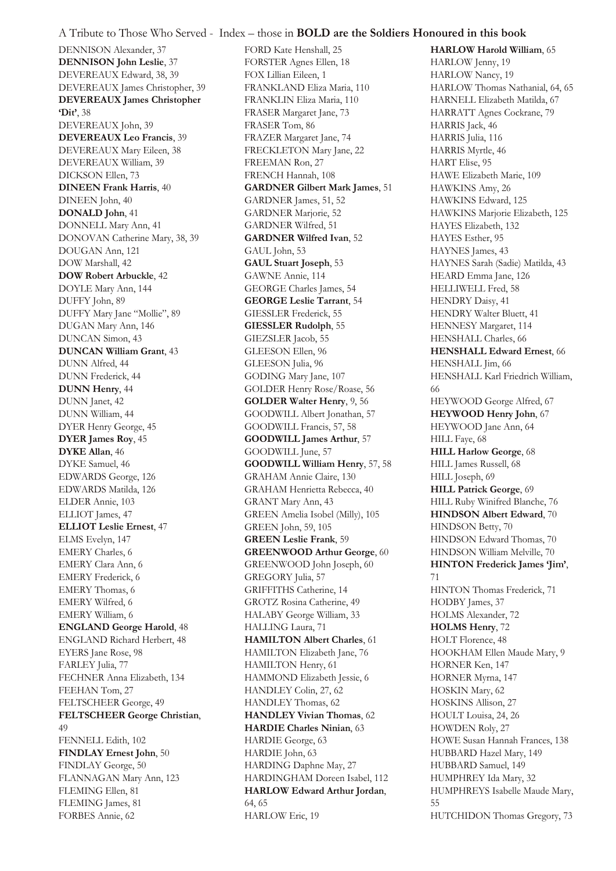DENNISON Alexander, 37 **DENNISON John Leslie**, 37 DEVEREAUX Edward, 38, 39 DEVEREAUX James Christopher, 39 **DEVEREAUX James Christopher 'Dit'**, 38 DEVEREAUX John, 39 **DEVEREAUX Leo Francis**, 39 DEVEREAUX Mary Eileen, 38 DEVEREAUX William, 39 DICKSON Ellen, 73 **DINEEN Frank Harris**, 40 DINEEN John, 40 **DONALD John**, 41 DONNELL Mary Ann, 41 DONOVAN Catherine Mary, 38, 39 DOUGAN Ann, 121 DOW Marshall, 42 **DOW Robert Arbuckle**, 42 DOYLE Mary Ann, 144 DUFFY John, 89 DUFFY Mary Jane "Mollie", 89 DUGAN Mary Ann, 146 DUNCAN Simon, 43 **DUNCAN William Grant**, 43 DUNN Alfred, 44 DUNN Frederick, 44 **DUNN Henry**, 44 DUNN Janet, 42 DUNN William, 44 DYER Henry George, 45 **DYER James Roy**, 45 **DYKE Allan**, 46 DYKE Samuel, 46 EDWARDS George, 126 EDWARDS Matilda, 126 ELDER Annie, 103 ELLIOT James, 47 **ELLIOT Leslie Ernest**, 47 ELMS Evelyn, 147 EMERY Charles, 6 EMERY Clara Ann, 6 EMERY Frederick, 6 EMERY Thomas, 6 EMERY Wilfred, 6 EMERY William, 6 **ENGLAND George Harold**, 48 ENGLAND Richard Herbert, 48 EYERS Jane Rose, 98 FARLEY Julia, 77 FECHNER Anna Elizabeth, 134 FEEHAN Tom, 27 FELTSCHEER George, 49 **FELTSCHEER George Christian**, 49 FENNELL Edith, 102 **FINDLAY Ernest John**, 50 FINDLAY George, 50 FLANNAGAN Mary Ann, 123 FLEMING Ellen, 81

FLEMING James, 81 FORBES Annie, 62

FORD Kate Henshall, 25 FORSTER Agnes Ellen, 18 FOX Lillian Eileen, 1 FRANKLAND Eliza Maria, 110 FRANKLIN Eliza Maria, 110 FRASER Margaret Jane, 73 FRASER Tom, 86 FRAZER Margaret Jane, 74 FRECKLETON Mary Jane, 22 FREEMAN Ron, 27 FRENCH Hannah, 108 **GARDNER Gilbert Mark James**, 51 GARDNER James, 51, 52 GARDNER Marjorie, 52 GARDNER Wilfred, 51 **GARDNER Wilfred Ivan**, 52 GAUL John, 53 **GAUL Stuart Joseph**, 53 GAWNE Annie, 114 GEORGE Charles James, 54 **GEORGE Leslie Tarrant**, 54 GIESSLER Frederick, 55 **GIESSLER Rudolph**, 55 GIEZSLER Jacob, 55 GLEESON Ellen, 96 GLEESON Julia, 96 GODING Mary Jane, 107 GOLDER Henry Rose/Roase, 56 **GOLDER Walter Henry**, 9, 56 GOODWILL Albert Jonathan, 57 GOODWILL Francis, 57, 58 **GOODWILL James Arthur**, 57 GOODWILL June, 57 **GOODWILL William Henry**, 57, 58 GRAHAM Annie Claire, 130 GRAHAM Henrietta Rebecca, 40 GRANT Mary Ann, 43 GREEN Amelia Isobel (Milly), 105 GREEN John, 59, 105 **GREEN Leslie Frank**, 59 **GREENWOOD Arthur George**, 60 GREENWOOD John Joseph, 60 GREGORY Julia, 57 GRIFFITHS Catherine, 14 GROTZ Rosina Catherine, 49 HALABY George William, 33 HALLING Laura, 71 **HAMILTON Albert Charles**, 61 HAMILTON Elizabeth Jane, 76 HAMILTON Henry, 61 HAMMOND Elizabeth Jessie, 6 HANDLEY Colin, 27, 62 HANDLEY Thomas, 62 **HANDLEY Vivian Thomas**, 62 **HARDIE Charles Ninian**, 63 HARDIE George, 63 HARDIE John, 63 HARDING Daphne May, 27 HARDINGHAM Doreen Isabel, 112 **HARLOW Edward Arthur Jordan**, 64, 65 HARLOW Eric, 19

**HARLOW Harold William**, 65 HARLOW Jenny, 19 HARLOW Nancy, 19 HARLOW Thomas Nathanial, 64, 65 HARNELL Elizabeth Matilda, 67 HARRATT Agnes Cockrane, 79 HARRIS Jack, 46 HARRIS Julia, 116 HARRIS Myrtle, 46 HART Elise, 95 HAWE Elizabeth Marie, 109 HAWKINS Amy, 26 HAWKINS Edward, 125 HAWKINS Marjorie Elizabeth, 125 HAYES Elizabeth, 132 HAYES Esther, 95 HAYNES James, 43 HAYNES Sarah (Sadie) Matilda, 43 HEARD Emma Jane, 126 HELLIWELL Fred, 58 HENDRY Daisy, 41 HENDRY Walter Bluett, 41 HENNESY Margaret, 114 HENSHALL Charles, 66 **HENSHALL Edward Ernest**, 66 HENSHALL Jim, 66 HENSHALL Karl Friedrich William, 66 HEYWOOD George Alfred, 67 **HEYWOOD Henry John**, 67 HEYWOOD Jane Ann, 64 HILL Faye, 68 **HILL Harlow George**, 68 HILL James Russell, 68 HILL Joseph, 69 **HILL Patrick George**, 69 HILL Ruby Winifred Blanche, 76 **HINDSON Albert Edward**, 70 HINDSON Betty, 70 HINDSON Edward Thomas, 70 HINDSON William Melville, 70 **HINTON Frederick James 'Jim'**, 71 HINTON Thomas Frederick, 71 HODBY James, 37 HOLMS Alexander, 72 **HOLMS Henry**, 72 HOLT Florence, 48 HOOKHAM Ellen Maude Mary, 9 HORNER Ken, 147 HORNER Myrna, 147 HOSKIN Mary, 62 HOSKINS Allison, 27 HOULT Louisa, 24, 26 HOWDEN Roly, 27 HOWE Susan Hannah Frances, 138 HUBBARD Hazel Mary, 149 HUBBARD Samuel, 149 HUMPHREY Ida Mary, 32 HUMPHREYS Isabelle Maude Mary, 55 HUTCHIDON Thomas Gregory, 73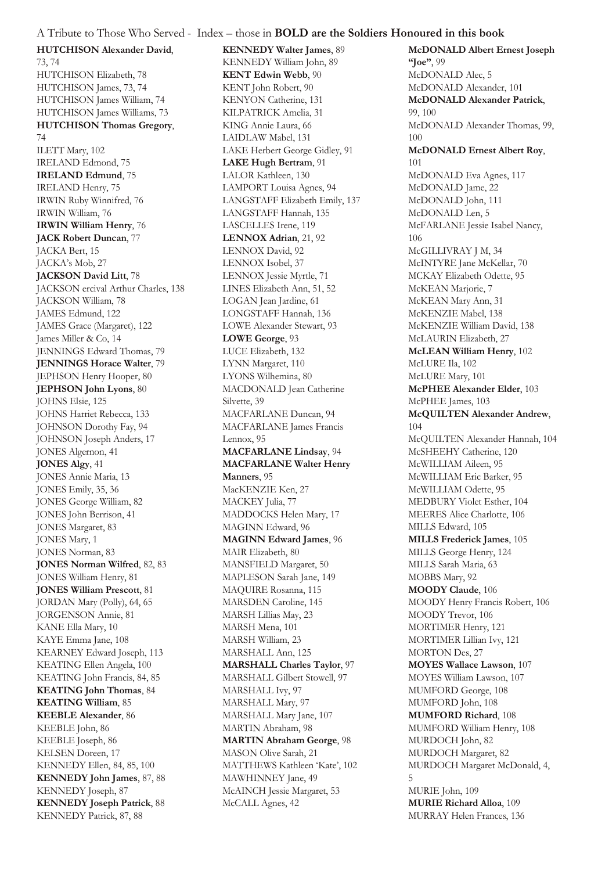**HUTCHISON Alexander David**,

73, 74 HUTCHISON Elizabeth, 78 HUTCHISON James, 73, 74 HUTCHISON James William, 74 HUTCHISON James Williams, 73 **HUTCHISON Thomas Gregory**, 74 ILETT Mary, 102 IRELAND Edmond, 75 **IRELAND Edmund**, 75 IRELAND Henry, 75 IRWIN Ruby Winnifred, 76 IRWIN William, 76 **IRWIN William Henry**, 76 **JACK Robert Duncan**, 77 JACKA Bert, 15 JACKA's Mob, 27 **JACKSON David Litt**, 78 JACKSON ercival Arthur Charles, 138 JACKSON William, 78 JAMES Edmund, 122 JAMES Grace (Margaret), 122 James Miller & Co, 14 JENNINGS Edward Thomas, 79 **JENNINGS Horace Walter**, 79 JEPHSON Henry Hooper, 80 **JEPHSON John Lyons**, 80 JOHNS Elsie, 125 JOHNS Harriet Rebecca, 133 JOHNSON Dorothy Fay, 94 JOHNSON Joseph Anders, 17 JONES Algernon, 41 **JONES Algy**, 41 JONES Annie Maria, 13 JONES Emily, 35, 36 JONES George William, 82 JONES John Berrison, 41 JONES Margaret, 83 JONES Mary, 1 JONES Norman, 83 **JONES Norman Wilfred**, 82, 83 JONES William Henry, 81 **JONES William Prescott**, 81 JORDAN Mary (Polly), 64, 65 JORGENSON Annie, 81 KANE Ella Mary, 10 KAYE Emma Jane, 108 KEARNEY Edward Joseph, 113 KEATING Ellen Angela, 100 KEATING John Francis, 84, 85 **KEATING John Thomas**, 84 **KEATING William**, 85 **KEEBLE Alexander**, 86 KEEBLE John, 86 KEEBLE Joseph, 86 KELSEN Doreen, 17 KENNEDY Ellen, 84, 85, 100 **KENNEDY John James**, 87, 88 KENNEDY Joseph, 87 **KENNEDY Joseph Patrick**, 88 KENNEDY Patrick, 87, 88

**KENNEDY Walter James**, 89 KENNEDY William John, 89 **KENT Edwin Webb**, 90 KENT John Robert, 90 KENYON Catherine, 131 KILPATRICK Amelia, 31 KING Annie Laura, 66 LAIDLAW Mabel, 131 LAKE Herbert George Gidley, 91 **LAKE Hugh Bertram**, 91 LALOR Kathleen, 130 LAMPORT Louisa Agnes, 94 LANGSTAFF Elizabeth Emily, 137 LANGSTAFF Hannah, 135 LASCELLES Irene, 119 **LENNOX Adrian**, 21, 92 LENNOX David, 92 LENNOX Isobel, 37 LENNOX Jessie Myrtle, 71 LINES Elizabeth Ann, 51, 52 LOGAN Jean Jardine, 61 LONGSTAFF Hannah, 136 LOWE Alexander Stewart, 93 **LOWE George**, 93 LUCE Elizabeth, 132 LYNN Margaret, 110 LYONS Wilhemina, 80 MACDONALD Jean Catherine Silvette, 39 MACFARLANE Duncan, 94 MACFARLANE James Francis Lennox, 95 **MACFARLANE Lindsay**, 94 **MACFARLANE Walter Henry Manners**, 95 MacKENZIE Ken, 27 MACKEY Julia, 77 MADDOCKS Helen Mary, 17 MAGINN Edward, 96 **MAGINN Edward James**, 96 MAIR Elizabeth, 80 MANSFIELD Margaret, 50 MAPLESON Sarah Jane, 149 MAQUIRE Rosanna, 115 MARSDEN Caroline, 145 MARSH Lillias May, 23 MARSH Mena, 101 MARSH William, 23 MARSHALL Ann, 125 **MARSHALL Charles Taylor**, 97 MARSHALL Gilbert Stowell, 97 MARSHALL Ivy, 97 MARSHALL Mary, 97 MARSHALL Mary Jane, 107 MARTIN Abraham, 98 **MARTIN Abraham George**, 98 MASON Olive Sarah, 21 MATTHEWS Kathleen 'Kate', 102 MAWHINNEY Jane, 49 McAINCH Jessie Margaret, 53 McCALL Agnes, 42

**McDONALD Albert Ernest Joseph "Joe"**, 99 McDONALD Alec, 5 McDONALD Alexander, 101 **McDONALD Alexander Patrick**, 99, 100 McDONALD Alexander Thomas, 99, 100 **McDONALD Ernest Albert Roy**, 101 McDONALD Eva Agnes, 117 McDONALD Jame, 22 McDONALD John, 111 McDONALD Len, 5 McFARLANE Jessie Isabel Nancy, 106 McGILLIVRAY J M, 34 McINTYRE Jane McKellar, 70 MCKAY Elizabeth Odette, 95 McKEAN Marjorie, 7 McKEAN Mary Ann, 31 McKENZIE Mabel, 138 McKENZIE William David, 138 McLAURIN Elizabeth, 27 **McLEAN William Henry**, 102 McLURE Ila, 102 McLURE Mary, 101 **McPHEE Alexander Elder**, 103 McPHEE James, 103 **McQUILTEN Alexander Andrew**, 104 McQUILTEN Alexander Hannah, 104 McSHEEHY Catherine, 120 McWILLIAM Aileen, 95 McWILLIAM Eric Barker, 95 McWILLIAM Odette, 95 MEDBURY Violet Esther, 104 MEERES Alice Charlotte, 106 MILLS Edward, 105 **MILLS Frederick James**, 105 MILLS George Henry, 124 MILLS Sarah Maria, 63 MOBBS Mary, 92 **MOODY Claude**, 106 MOODY Henry Francis Robert, 106 MOODY Trevor, 106 MORTIMER Henry, 121 MORTIMER Lillian Ivy, 121 MORTON Des, 27 **MOYES Wallace Lawson**, 107 MOYES William Lawson, 107 MUMFORD George, 108 MUMFORD John, 108 **MUMFORD Richard**, 108 MUMFORD William Henry, 108 MURDOCH John, 82 MURDOCH Margaret, 82 MURDOCH Margaret McDonald, 4, 5 MURIE John, 109 **MURIE Richard Alloa**, 109 MURRAY Helen Frances, 136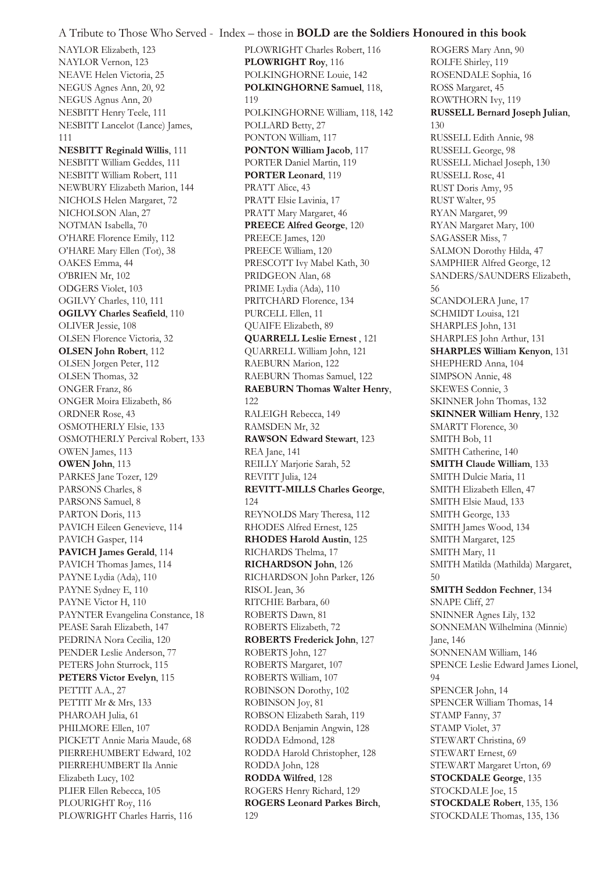NAYLOR Elizabeth, 123 NAYLOR Vernon, 123 NEAVE Helen Victoria, 25 NEGUS Agnes Ann, 20, 92 NEGUS Agnus Ann, 20 NESBITT Henry Teele, 111 NESBITT Lancelot (Lance) James, 111 **NESBITT Reginald Willis**, 111 NESBITT William Geddes, 111 NESBITT William Robert, 111 NEWBURY Elizabeth Marion, 144 NICHOLS Helen Margaret, 72 NICHOLSON Alan, 27 NOTMAN Isabella, 70 O'HARE Florence Emily, 112 O'HARE Mary Ellen (Tot), 38 OAKES Emma, 44 O'BRIEN Mr, 102 ODGERS Violet, 103 OGILVY Charles, 110, 111 **OGILVY Charles Seafield**, 110 OLIVER Jessie, 108 OLSEN Florence Victoria, 32 **OLSEN John Robert**, 112 OLSEN Jorgen Peter, 112 OLSEN Thomas, 32 ONGER Franz, 86 ONGER Moira Elizabeth, 86 ORDNER Rose, 43 OSMOTHERLY Elsie, 133 OSMOTHERLY Percival Robert, 133 OWEN James, 113 **OWEN John**, 113 PARKES Jane Tozer, 129 PARSONS Charles, 8 PARSONS Samuel, 8 PARTON Doris, 113 PAVICH Eileen Genevieve, 114 PAVICH Gasper, 114 **PAVICH James Gerald**, 114 PAVICH Thomas James, 114 PAYNE Lydia (Ada), 110 PAYNE Sydney E, 110 PAYNE Victor H, 110 PAYNTER Evangelina Constance, 18 PEASE Sarah Elizabeth, 147 PEDRINA Nora Cecilia, 120 PENDER Leslie Anderson, 77 PETERS John Sturrock, 115 **PETERS Victor Evelyn**, 115 PETTIT A.A., 27 PETTIT Mr & Mrs, 133 PHAROAH Julia, 61 PHILMORE Ellen, 107 PICKETT Annie Maria Maude, 68 PIERREHUMBERT Edward, 102 PIERREHUMBERT Ila Annie Elizabeth Lucy, 102 PLIER Ellen Rebecca, 105 PLOURIGHT Roy, 116 PLOWRIGHT Charles Harris, 116

PLOWRIGHT Charles Robert, 116 **PLOWRIGHT Roy**, 116 POLKINGHORNE Louie, 142 **POLKINGHORNE Samuel**, 118, 119 POLKINGHORNE William, 118, 142 POLLARD Betty, 27 PONTON William, 117 **PONTON William Jacob**, 117 PORTER Daniel Martin, 119 **PORTER Leonard**, 119 PRATT Alice, 43 PRATT Elsie Lavinia, 17 PRATT Mary Margaret, 46 **PREECE Alfred George**, 120 PREECE James, 120 PREECE William, 120 PRESCOTT Ivy Mabel Kath, 30 PRIDGEON Alan, 68 PRIME Lydia (Ada), 110 PRITCHARD Florence, 134 PURCELL Ellen, 11 QUAIFE Elizabeth, 89 **QUARRELL Leslie Ernest** , 121 QUARRELL William John, 121 RAEBURN Marion, 122 RAEBURN Thomas Samuel, 122 **RAEBURN Thomas Walter Henry**, 122 RALEIGH Rebecca, 149 RAMSDEN Mr, 32 **RAWSON Edward Stewart**, 123 REA Jane, 141 REILLY Marjorie Sarah, 52 REVITT Julia, 124 **REVITT-MILLS Charles George**, 124 REYNOLDS Mary Theresa, 112 RHODES Alfred Ernest, 125 **RHODES Harold Austin**, 125 RICHARDS Thelma, 17 **RICHARDSON John**, 126 RICHARDSON John Parker, 126 RISOL Jean, 36 RITCHIE Barbara, 60 ROBERTS Dawn, 81 ROBERTS Elizabeth, 72 **ROBERTS Frederick John**, 127 ROBERTS John, 127 ROBERTS Margaret, 107 ROBERTS William, 107 ROBINSON Dorothy, 102 ROBINSON Joy, 81 ROBSON Elizabeth Sarah, 119 RODDA Benjamin Angwin, 128 RODDA Edmond, 128 RODDA Harold Christopher, 128 RODDA John, 128 **RODDA Wilfred**, 128 ROGERS Henry Richard, 129 **ROGERS Leonard Parkes Birch**, 129

ROGERS Mary Ann, 90 ROLFE Shirley, 119 ROSENDALE Sophia, 16 ROSS Margaret, 45 ROWTHORN Ivy, 119 **RUSSELL Bernard Joseph Julian**, 130 RUSSELL Edith Annie, 98 RUSSELL George, 98 RUSSELL Michael Joseph, 130 RUSSELL Rose, 41 RUST Doris Amy, 95 RUST Walter, 95 RYAN Margaret, 99 RYAN Margaret Mary, 100 SAGASSER Miss, 7 SALMON Dorothy Hilda, 47 SAMPHIER Alfred George, 12 SANDERS/SAUNDERS Elizabeth, 56 SCANDOLERA June, 17 SCHMIDT Louisa, 121 SHARPLES John, 131 SHARPLES John Arthur, 131 **SHARPLES William Kenyon**, 131 SHEPHERD Anna, 104 SIMPSON Annie, 48 SKEWES Connie, 3 SKINNER John Thomas, 132 **SKINNER William Henry**, 132 SMARTT Florence, 30 SMITH Bob, 11 SMITH Catherine, 140 **SMITH Claude William**, 133 SMITH Dulcie Maria, 11 SMITH Elizabeth Ellen, 47 SMITH Elsie Maud, 133 SMITH George, 133 SMITH James Wood, 134 SMITH Margaret, 125 SMITH Mary, 11 SMITH Matilda (Mathilda) Margaret, 50 **SMITH Seddon Fechner**, 134 SNAPE Cliff, 27 SNINNER Agnes Lily, 132 SONNEMAN Wilhelmina (Minnie) Jane, 146 SONNENAM William, 146 SPENCE Leslie Edward James Lionel, 94 SPENCER John, 14 SPENCER William Thomas, 14 STAMP Fanny, 37 STAMP Violet, 37 STEWART Christina, 69 STEWART Ernest, 69 STEWART Margaret Urton, 69 **STOCKDALE George**, 135 STOCKDALE Joe, 15 **STOCKDALE Robert**, 135, 136 STOCKDALE Thomas, 135, 136